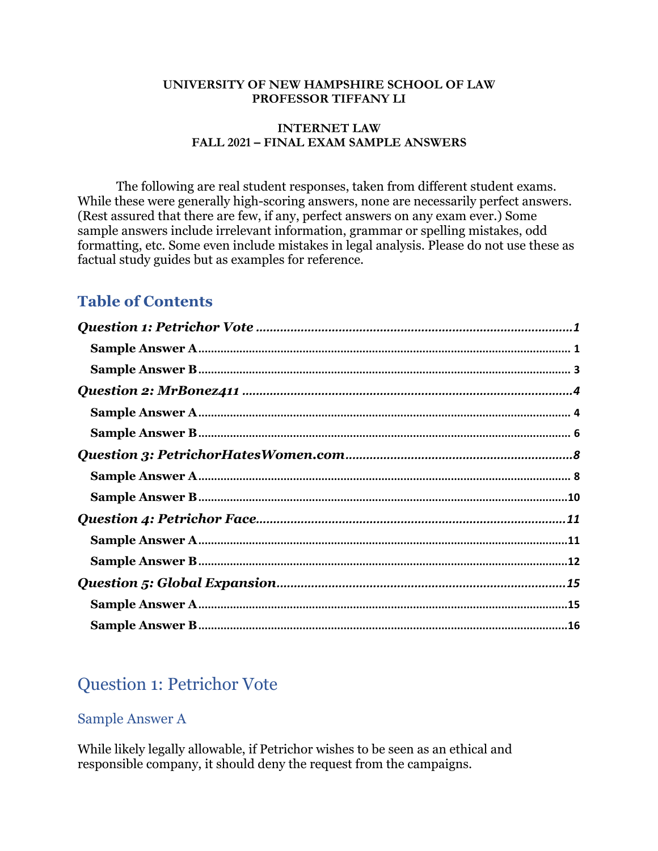#### **UNIVERSITY OF NEW HAMPSHIRE SCHOOL OF LAW PROFESSOR TIFFANY LI**

#### **INTERNET LAW FALL 2021 – FINAL EXAM SAMPLE ANSWERS**

The following are real student responses, taken from different student exams. While these were generally high-scoring answers, none are necessarily perfect answers. (Rest assured that there are few, if any, perfect answers on any exam ever.) Some sample answers include irrelevant information, grammar or spelling mistakes, odd formatting, etc. Some even include mistakes in legal analysis. Please do not use these as factual study guides but as examples for reference.

# **Table of Contents**

# Question 1: Petrichor Vote

## Sample Answer A

While likely legally allowable, if Petrichor wishes to be seen as an ethical and responsible company, it should deny the request from the campaigns.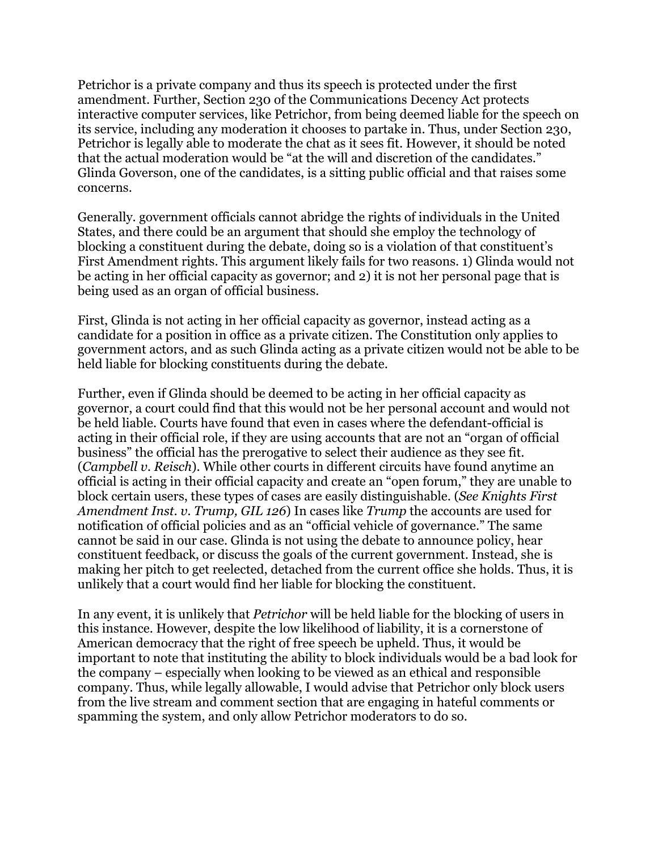Petrichor is a private company and thus its speech is protected under the first amendment. Further, Section 230 of the Communications Decency Act protects interactive computer services, like Petrichor, from being deemed liable for the speech on its service, including any moderation it chooses to partake in. Thus, under Section 230, Petrichor is legally able to moderate the chat as it sees fit. However, it should be noted that the actual moderation would be "at the will and discretion of the candidates." Glinda Goverson, one of the candidates, is a sitting public official and that raises some concerns.

Generally. government officials cannot abridge the rights of individuals in the United States, and there could be an argument that should she employ the technology of blocking a constituent during the debate, doing so is a violation of that constituent's First Amendment rights. This argument likely fails for two reasons. 1) Glinda would not be acting in her official capacity as governor; and 2) it is not her personal page that is being used as an organ of official business.

First, Glinda is not acting in her official capacity as governor, instead acting as a candidate for a position in office as a private citizen. The Constitution only applies to government actors, and as such Glinda acting as a private citizen would not be able to be held liable for blocking constituents during the debate.

Further, even if Glinda should be deemed to be acting in her official capacity as governor, a court could find that this would not be her personal account and would not be held liable. Courts have found that even in cases where the defendant-official is acting in their official role, if they are using accounts that are not an "organ of official business" the official has the prerogative to select their audience as they see fit. (*Campbell v. Reisch*). While other courts in different circuits have found anytime an official is acting in their official capacity and create an "open forum," they are unable to block certain users, these types of cases are easily distinguishable. (*See Knights First Amendment Inst. v. Trump, GIL 126*) In cases like *Trump* the accounts are used for notification of official policies and as an "official vehicle of governance." The same cannot be said in our case. Glinda is not using the debate to announce policy, hear constituent feedback, or discuss the goals of the current government. Instead, she is making her pitch to get reelected, detached from the current office she holds. Thus, it is unlikely that a court would find her liable for blocking the constituent.

In any event, it is unlikely that *Petrichor* will be held liable for the blocking of users in this instance. However, despite the low likelihood of liability, it is a cornerstone of American democracy that the right of free speech be upheld. Thus, it would be important to note that instituting the ability to block individuals would be a bad look for the company – especially when looking to be viewed as an ethical and responsible company. Thus, while legally allowable, I would advise that Petrichor only block users from the live stream and comment section that are engaging in hateful comments or spamming the system, and only allow Petrichor moderators to do so.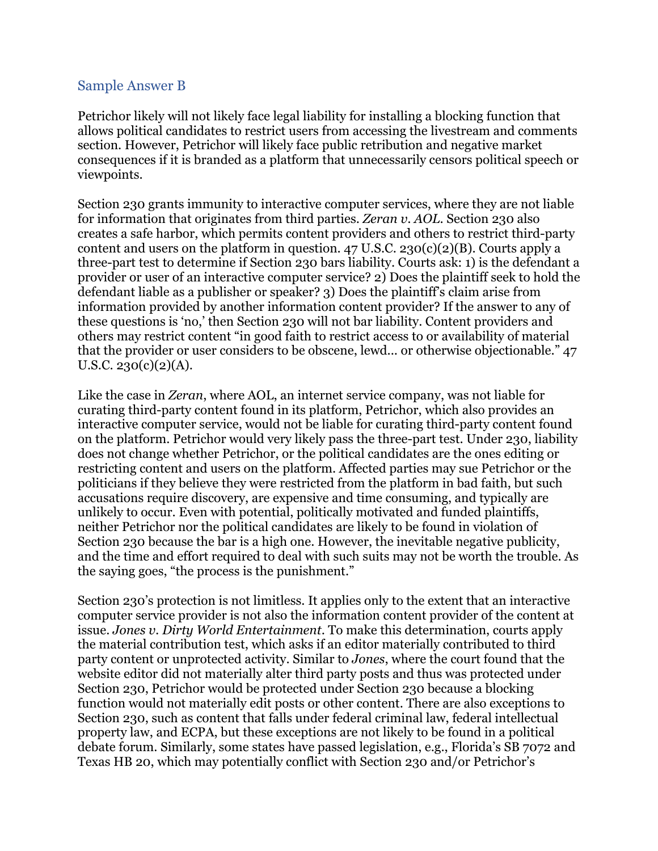### Sample Answer B

Petrichor likely will not likely face legal liability for installing a blocking function that allows political candidates to restrict users from accessing the livestream and comments section. However, Petrichor will likely face public retribution and negative market consequences if it is branded as a platform that unnecessarily censors political speech or viewpoints.

Section 230 grants immunity to interactive computer services, where they are not liable for information that originates from third parties. *Zeran v. AOL*. Section 230 also creates a safe harbor, which permits content providers and others to restrict third-party content and users on the platform in question.  $47 \text{ U.S.C. } 230 \text{ (c)} \text{ (2)} \text{ (B)}.$  Courts apply a three-part test to determine if Section 230 bars liability. Courts ask: 1) is the defendant a provider or user of an interactive computer service? 2) Does the plaintiff seek to hold the defendant liable as a publisher or speaker? 3) Does the plaintiff's claim arise from information provided by another information content provider? If the answer to any of these questions is 'no,' then Section 230 will not bar liability. Content providers and others may restrict content "in good faith to restrict access to or availability of material that the provider or user considers to be obscene, lewd... or otherwise objectionable." 47 U.S.C.  $230(c)(2)(A)$ .

Like the case in *Zeran*, where AOL, an internet service company, was not liable for curating third-party content found in its platform, Petrichor, which also provides an interactive computer service, would not be liable for curating third-party content found on the platform. Petrichor would very likely pass the three-part test. Under 230, liability does not change whether Petrichor, or the political candidates are the ones editing or restricting content and users on the platform. Affected parties may sue Petrichor or the politicians if they believe they were restricted from the platform in bad faith, but such accusations require discovery, are expensive and time consuming, and typically are unlikely to occur. Even with potential, politically motivated and funded plaintiffs, neither Petrichor nor the political candidates are likely to be found in violation of Section 230 because the bar is a high one. However, the inevitable negative publicity, and the time and effort required to deal with such suits may not be worth the trouble. As the saying goes, "the process is the punishment."

Section 230's protection is not limitless. It applies only to the extent that an interactive computer service provider is not also the information content provider of the content at issue. *Jones v. Dirty World Entertainment*. To make this determination, courts apply the material contribution test, which asks if an editor materially contributed to third party content or unprotected activity. Similar to *Jones*, where the court found that the website editor did not materially alter third party posts and thus was protected under Section 230, Petrichor would be protected under Section 230 because a blocking function would not materially edit posts or other content. There are also exceptions to Section 230, such as content that falls under federal criminal law, federal intellectual property law, and ECPA, but these exceptions are not likely to be found in a political debate forum. Similarly, some states have passed legislation, e.g., Florida's SB 7072 and Texas HB 20, which may potentially conflict with Section 230 and/or Petrichor's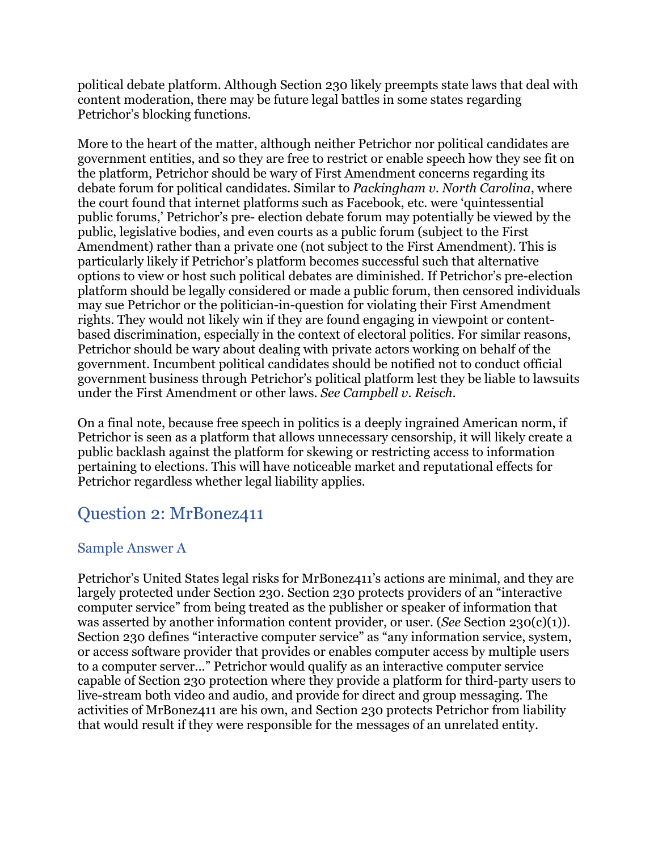political debate platform. Although Section 230 likely preempts state laws that deal with content moderation, there may be future legal battles in some states regarding Petrichor's blocking functions.

More to the heart of the matter, although neither Petrichor nor political candidates are government entities, and so they are free to restrict or enable speech how they see fit on the platform, Petrichor should be wary of First Amendment concerns regarding its debate forum for political candidates. Similar to *Packingham v. North Carolina*, where the court found that internet platforms such as Facebook, etc. were 'quintessential public forums,' Petrichor's pre- election debate forum may potentially be viewed by the public, legislative bodies, and even courts as a public forum (subject to the First Amendment) rather than a private one (not subject to the First Amendment). This is particularly likely if Petrichor's platform becomes successful such that alternative options to view or host such political debates are diminished. If Petrichor's pre-election platform should be legally considered or made a public forum, then censored individuals may sue Petrichor or the politician-in-question for violating their First Amendment rights. They would not likely win if they are found engaging in viewpoint or contentbased discrimination, especially in the context of electoral politics. For similar reasons, Petrichor should be wary about dealing with private actors working on behalf of the government. Incumbent political candidates should be notified not to conduct official government business through Petrichor's political platform lest they be liable to lawsuits under the First Amendment or other laws. *See Campbell v. Reisch*.

On a final note, because free speech in politics is a deeply ingrained American norm, if Petrichor is seen as a platform that allows unnecessary censorship, it will likely create a public backlash against the platform for skewing or restricting access to information pertaining to elections. This will have noticeable market and reputational effects for Petrichor regardless whether legal liability applies.

# Question 2: MrBonez411

# Sample Answer A

Petrichor's United States legal risks for MrBonez411's actions are minimal, and they are largely protected under Section 230. Section 230 protects providers of an "interactive computer service" from being treated as the publisher or speaker of information that was asserted by another information content provider, or user. (*See* Section 230(c)(1)). Section 230 defines "interactive computer service" as "any information service, system, or access software provider that provides or enables computer access by multiple users to a computer server..." Petrichor would qualify as an interactive computer service capable of Section 230 protection where they provide a platform for third-party users to live-stream both video and audio, and provide for direct and group messaging. The activities of MrBonez411 are his own, and Section 230 protects Petrichor from liability that would result if they were responsible for the messages of an unrelated entity.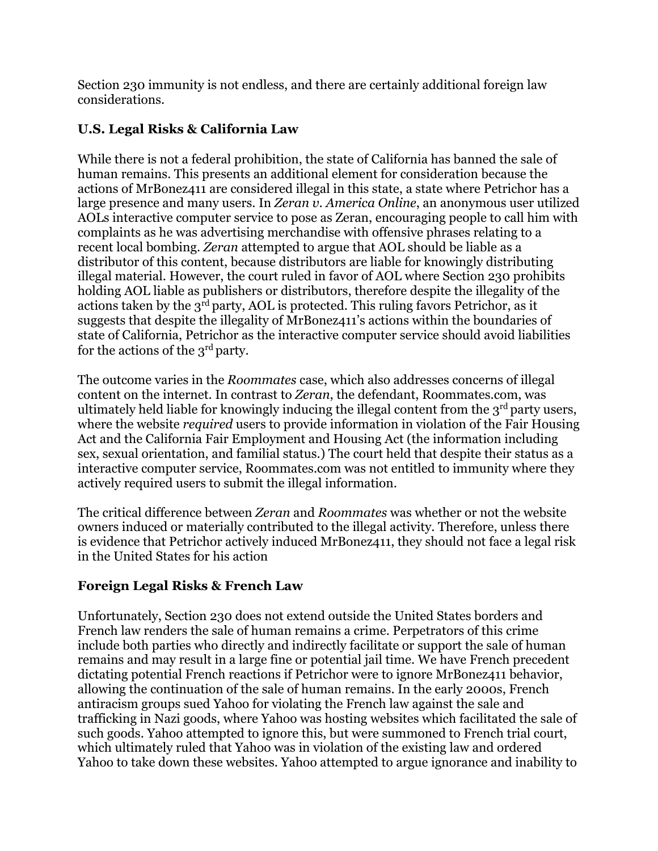Section 230 immunity is not endless, and there are certainly additional foreign law considerations.

## **U.S. Legal Risks & California Law**

While there is not a federal prohibition, the state of California has banned the sale of human remains. This presents an additional element for consideration because the actions of MrBonez411 are considered illegal in this state, a state where Petrichor has a large presence and many users. In *Zeran v. America Online*, an anonymous user utilized AOLs interactive computer service to pose as Zeran, encouraging people to call him with complaints as he was advertising merchandise with offensive phrases relating to a recent local bombing. *Zeran* attempted to argue that AOL should be liable as a distributor of this content, because distributors are liable for knowingly distributing illegal material. However, the court ruled in favor of AOL where Section 230 prohibits holding AOL liable as publishers or distributors, therefore despite the illegality of the actions taken by the 3rd party, AOL is protected. This ruling favors Petrichor, as it suggests that despite the illegality of MrBonez411's actions within the boundaries of state of California, Petrichor as the interactive computer service should avoid liabilities for the actions of the  $3<sup>rd</sup>$  party.

The outcome varies in the *Roommates* case, which also addresses concerns of illegal content on the internet. In contrast to *Zeran*, the defendant, Roommates.com, was ultimately held liable for knowingly inducing the illegal content from the  $3<sup>rd</sup>$  party users, where the website *required* users to provide information in violation of the Fair Housing Act and the California Fair Employment and Housing Act (the information including sex, sexual orientation, and familial status.) The court held that despite their status as a interactive computer service, Roommates.com was not entitled to immunity where they actively required users to submit the illegal information.

The critical difference between *Zeran* and *Roommates* was whether or not the website owners induced or materially contributed to the illegal activity. Therefore, unless there is evidence that Petrichor actively induced MrBonez411, they should not face a legal risk in the United States for his action

## **Foreign Legal Risks & French Law**

Unfortunately, Section 230 does not extend outside the United States borders and French law renders the sale of human remains a crime. Perpetrators of this crime include both parties who directly and indirectly facilitate or support the sale of human remains and may result in a large fine or potential jail time. We have French precedent dictating potential French reactions if Petrichor were to ignore MrBonez411 behavior, allowing the continuation of the sale of human remains. In the early 2000s, French antiracism groups sued Yahoo for violating the French law against the sale and trafficking in Nazi goods, where Yahoo was hosting websites which facilitated the sale of such goods. Yahoo attempted to ignore this, but were summoned to French trial court, which ultimately ruled that Yahoo was in violation of the existing law and ordered Yahoo to take down these websites. Yahoo attempted to argue ignorance and inability to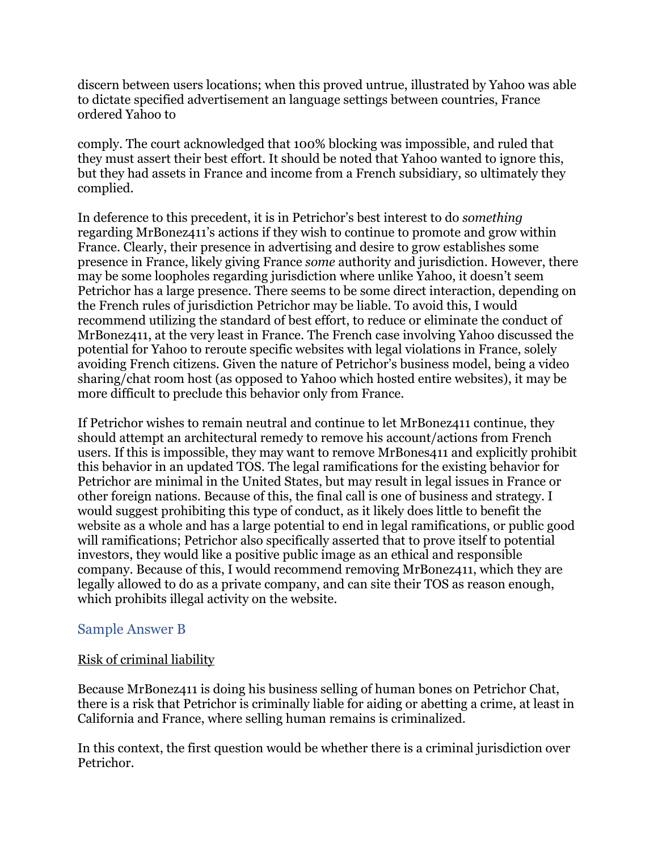discern between users locations; when this proved untrue, illustrated by Yahoo was able to dictate specified advertisement an language settings between countries, France ordered Yahoo to

comply. The court acknowledged that 100% blocking was impossible, and ruled that they must assert their best effort. It should be noted that Yahoo wanted to ignore this, but they had assets in France and income from a French subsidiary, so ultimately they complied.

In deference to this precedent, it is in Petrichor's best interest to do *something*  regarding MrBonez411's actions if they wish to continue to promote and grow within France. Clearly, their presence in advertising and desire to grow establishes some presence in France, likely giving France *some* authority and jurisdiction. However, there may be some loopholes regarding jurisdiction where unlike Yahoo, it doesn't seem Petrichor has a large presence. There seems to be some direct interaction, depending on the French rules of jurisdiction Petrichor may be liable. To avoid this, I would recommend utilizing the standard of best effort, to reduce or eliminate the conduct of MrBonez411, at the very least in France. The French case involving Yahoo discussed the potential for Yahoo to reroute specific websites with legal violations in France, solely avoiding French citizens. Given the nature of Petrichor's business model, being a video sharing/chat room host (as opposed to Yahoo which hosted entire websites), it may be more difficult to preclude this behavior only from France.

If Petrichor wishes to remain neutral and continue to let MrBonez411 continue, they should attempt an architectural remedy to remove his account/actions from French users. If this is impossible, they may want to remove MrBones411 and explicitly prohibit this behavior in an updated TOS. The legal ramifications for the existing behavior for Petrichor are minimal in the United States, but may result in legal issues in France or other foreign nations. Because of this, the final call is one of business and strategy. I would suggest prohibiting this type of conduct, as it likely does little to benefit the website as a whole and has a large potential to end in legal ramifications, or public good will ramifications; Petrichor also specifically asserted that to prove itself to potential investors, they would like a positive public image as an ethical and responsible company. Because of this, I would recommend removing MrBonez411, which they are legally allowed to do as a private company, and can site their TOS as reason enough, which prohibits illegal activity on the website.

## Sample Answer B

### Risk of criminal liability

Because MrBonez411 is doing his business selling of human bones on Petrichor Chat, there is a risk that Petrichor is criminally liable for aiding or abetting a crime, at least in California and France, where selling human remains is criminalized.

In this context, the first question would be whether there is a criminal jurisdiction over Petrichor.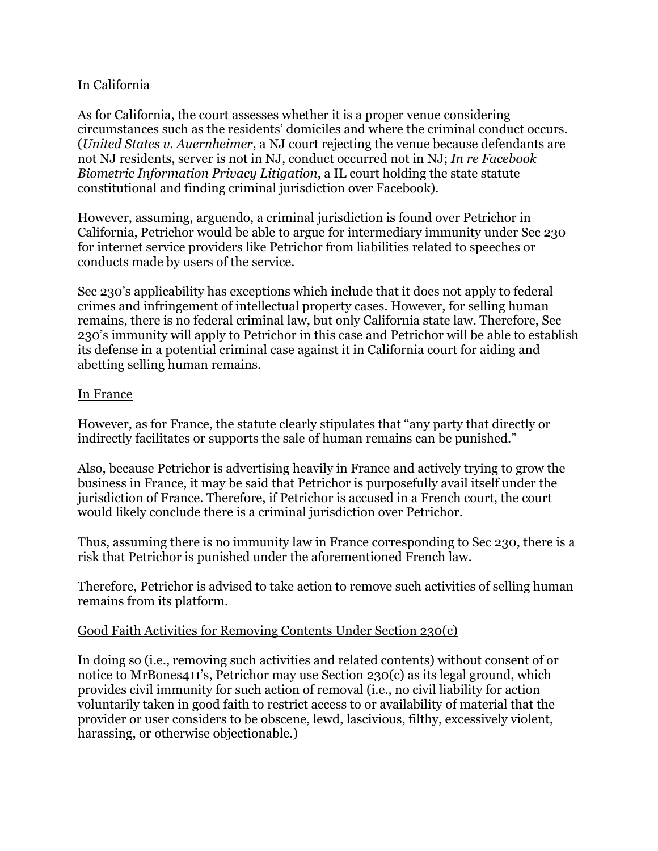### In California

As for California, the court assesses whether it is a proper venue considering circumstances such as the residents' domiciles and where the criminal conduct occurs. (*United States v. Auernheimer*, a NJ court rejecting the venue because defendants are not NJ residents, server is not in NJ, conduct occurred not in NJ; *In re Facebook Biometric Information Privacy Litigation*, a IL court holding the state statute constitutional and finding criminal jurisdiction over Facebook).

However, assuming, arguendo, a criminal jurisdiction is found over Petrichor in California, Petrichor would be able to argue for intermediary immunity under Sec 230 for internet service providers like Petrichor from liabilities related to speeches or conducts made by users of the service.

Sec 230's applicability has exceptions which include that it does not apply to federal crimes and infringement of intellectual property cases. However, for selling human remains, there is no federal criminal law, but only California state law. Therefore, Sec 230's immunity will apply to Petrichor in this case and Petrichor will be able to establish its defense in a potential criminal case against it in California court for aiding and abetting selling human remains.

### In France

However, as for France, the statute clearly stipulates that "any party that directly or indirectly facilitates or supports the sale of human remains can be punished."

Also, because Petrichor is advertising heavily in France and actively trying to grow the business in France, it may be said that Petrichor is purposefully avail itself under the jurisdiction of France. Therefore, if Petrichor is accused in a French court, the court would likely conclude there is a criminal jurisdiction over Petrichor.

Thus, assuming there is no immunity law in France corresponding to Sec 230, there is a risk that Petrichor is punished under the aforementioned French law.

Therefore, Petrichor is advised to take action to remove such activities of selling human remains from its platform.

### Good Faith Activities for Removing Contents Under Section 230(c)

In doing so (i.e., removing such activities and related contents) without consent of or notice to MrBones411's, Petrichor may use Section 230(c) as its legal ground, which provides civil immunity for such action of removal (i.e., no civil liability for action voluntarily taken in good faith to restrict access to or availability of material that the provider or user considers to be obscene, lewd, lascivious, filthy, excessively violent, harassing, or otherwise objectionable.)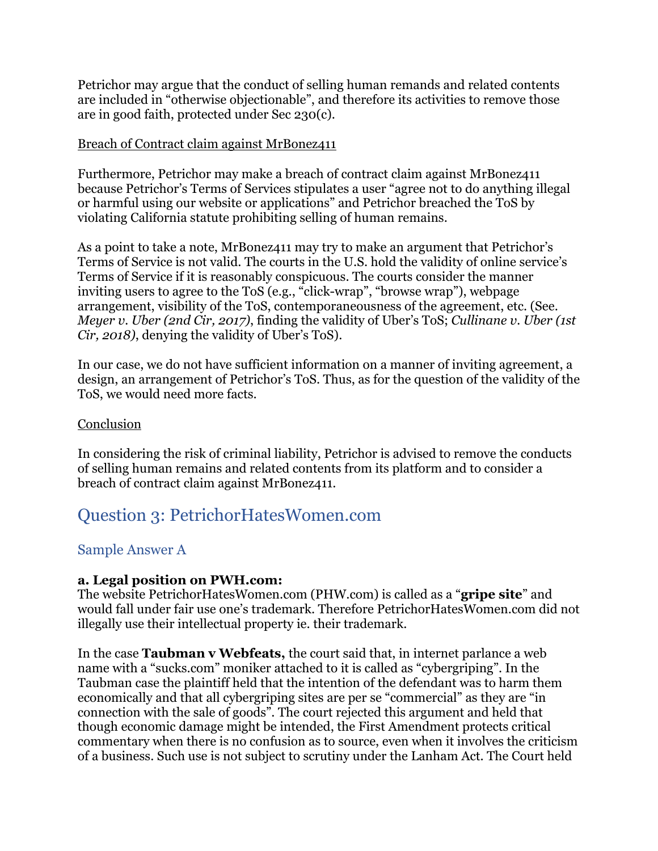Petrichor may argue that the conduct of selling human remands and related contents are included in "otherwise objectionable", and therefore its activities to remove those are in good faith, protected under Sec 230(c).

### Breach of Contract claim against MrBonez411

Furthermore, Petrichor may make a breach of contract claim against MrBonez411 because Petrichor's Terms of Services stipulates a user "agree not to do anything illegal or harmful using our website or applications" and Petrichor breached the ToS by violating California statute prohibiting selling of human remains.

As a point to take a note, MrBonez411 may try to make an argument that Petrichor's Terms of Service is not valid. The courts in the U.S. hold the validity of online service's Terms of Service if it is reasonably conspicuous. The courts consider the manner inviting users to agree to the ToS (e.g., "click-wrap", "browse wrap"), webpage arrangement, visibility of the ToS, contemporaneousness of the agreement, etc. (See. *Meyer v. Uber (2nd Cir, 2017)*, finding the validity of Uber's ToS; *Cullinane v. Uber (1st Cir, 2018)*, denying the validity of Uber's ToS).

In our case, we do not have sufficient information on a manner of inviting agreement, a design, an arrangement of Petrichor's ToS. Thus, as for the question of the validity of the ToS, we would need more facts.

### Conclusion

In considering the risk of criminal liability, Petrichor is advised to remove the conducts of selling human remains and related contents from its platform and to consider a breach of contract claim against MrBonez411.

# Question 3: PetrichorHatesWomen.com

## Sample Answer A

## **a. Legal position on PWH.com:**

The website PetrichorHatesWomen.com (PHW.com) is called as a "**gripe site**" and would fall under fair use one's trademark. Therefore PetrichorHatesWomen.com did not illegally use their intellectual property ie. their trademark.

In the case **Taubman v Webfeats,** the court said that, in internet parlance a web name with a "sucks.com" moniker attached to it is called as "cybergriping". In the Taubman case the plaintiff held that the intention of the defendant was to harm them economically and that all cybergriping sites are per se "commercial" as they are "in connection with the sale of goods". The court rejected this argument and held that though economic damage might be intended, the First Amendment protects critical commentary when there is no confusion as to source, even when it involves the criticism of a business. Such use is not subject to scrutiny under the Lanham Act. The Court held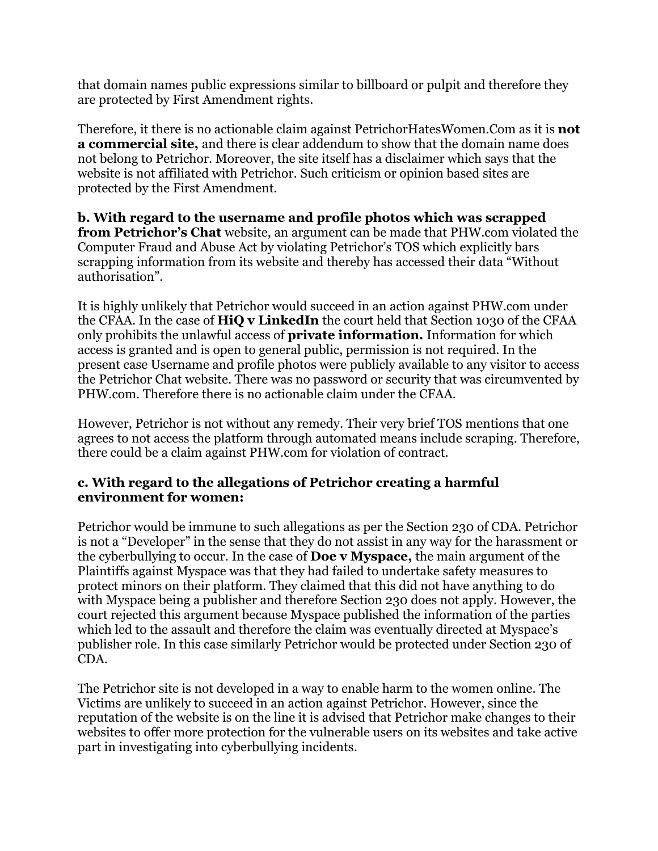that domain names public expressions similar to billboard or pulpit and therefore they are protected by First Amendment rights.

Therefore, it there is no actionable claim against PetrichorHatesWomen.Com as it is **not a commercial site,** and there is clear addendum to show that the domain name does not belong to Petrichor. Moreover, the site itself has a disclaimer which says that the website is not affiliated with Petrichor. Such criticism or opinion based sites are protected by the First Amendment.

**b. With regard to the username and profile photos which was scrapped from Petrichor's Chat** website, an argument can be made that PHW.com violated the Computer Fraud and Abuse Act by violating Petrichor's TOS which explicitly bars scrapping information from its website and thereby has accessed their data "Without authorisation".

It is highly unlikely that Petrichor would succeed in an action against PHW.com under the CFAA. In the case of **HiQ v LinkedIn** the court held that Section 1030 of the CFAA only prohibits the unlawful access of **private information.** Information for which access is granted and is open to general public, permission is not required. In the present case Username and profile photos were publicly available to any visitor to access the Petrichor Chat website. There was no password or security that was circumvented by PHW.com. Therefore there is no actionable claim under the CFAA.

However, Petrichor is not without any remedy. Their very brief TOS mentions that one agrees to not access the platform through automated means include scraping. Therefore, there could be a claim against PHW.com for violation of contract.

## **c. With regard to the allegations of Petrichor creating a harmful environment for women:**

Petrichor would be immune to such allegations as per the Section 230 of CDA. Petrichor is not a "Developer" in the sense that they do not assist in any way for the harassment or the cyberbullying to occur. In the case of **Doe v Myspace,** the main argument of the Plaintiffs against Myspace was that they had failed to undertake safety measures to protect minors on their platform. They claimed that this did not have anything to do with Myspace being a publisher and therefore Section 230 does not apply. However, the court rejected this argument because Myspace published the information of the parties which led to the assault and therefore the claim was eventually directed at Myspace's publisher role. In this case similarly Petrichor would be protected under Section 230 of CDA.

The Petrichor site is not developed in a way to enable harm to the women online. The Victims are unlikely to succeed in an action against Petrichor. However, since the reputation of the website is on the line it is advised that Petrichor make changes to their websites to offer more protection for the vulnerable users on its websites and take active part in investigating into cyberbullying incidents.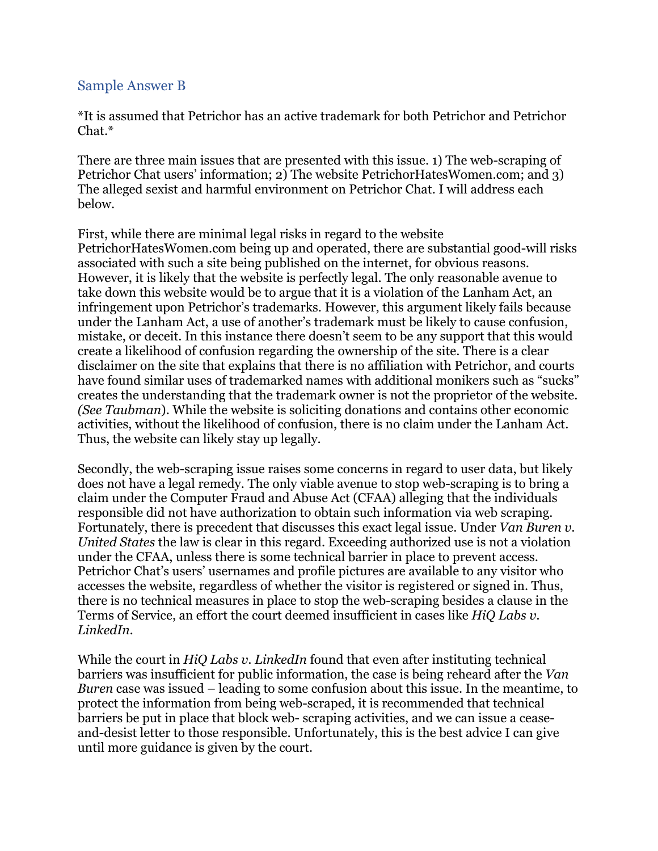### Sample Answer B

\*It is assumed that Petrichor has an active trademark for both Petrichor and Petrichor Chat.\*

There are three main issues that are presented with this issue. 1) The web-scraping of Petrichor Chat users' information; 2) The website PetrichorHatesWomen.com; and 3) The alleged sexist and harmful environment on Petrichor Chat. I will address each below.

First, while there are minimal legal risks in regard to the website PetrichorHatesWomen.com being up and operated, there are substantial good-will risks associated with such a site being published on the internet, for obvious reasons. However, it is likely that the website is perfectly legal. The only reasonable avenue to take down this website would be to argue that it is a violation of the Lanham Act, an infringement upon Petrichor's trademarks. However, this argument likely fails because under the Lanham Act, a use of another's trademark must be likely to cause confusion, mistake, or deceit. In this instance there doesn't seem to be any support that this would create a likelihood of confusion regarding the ownership of the site. There is a clear disclaimer on the site that explains that there is no affiliation with Petrichor, and courts have found similar uses of trademarked names with additional monikers such as "sucks" creates the understanding that the trademark owner is not the proprietor of the website. *(See Taubman*). While the website is soliciting donations and contains other economic activities, without the likelihood of confusion, there is no claim under the Lanham Act. Thus, the website can likely stay up legally.

Secondly, the web-scraping issue raises some concerns in regard to user data, but likely does not have a legal remedy. The only viable avenue to stop web-scraping is to bring a claim under the Computer Fraud and Abuse Act (CFAA) alleging that the individuals responsible did not have authorization to obtain such information via web scraping. Fortunately, there is precedent that discusses this exact legal issue. Under *Van Buren v. United States* the law is clear in this regard. Exceeding authorized use is not a violation under the CFAA, unless there is some technical barrier in place to prevent access. Petrichor Chat's users' usernames and profile pictures are available to any visitor who accesses the website, regardless of whether the visitor is registered or signed in. Thus, there is no technical measures in place to stop the web-scraping besides a clause in the Terms of Service, an effort the court deemed insufficient in cases like *HiQ Labs v. LinkedIn.* 

While the court in *HiQ Labs v. LinkedIn* found that even after instituting technical barriers was insufficient for public information, the case is being reheard after the *Van Buren* case was issued – leading to some confusion about this issue. In the meantime, to protect the information from being web-scraped, it is recommended that technical barriers be put in place that block web- scraping activities, and we can issue a ceaseand-desist letter to those responsible. Unfortunately, this is the best advice I can give until more guidance is given by the court.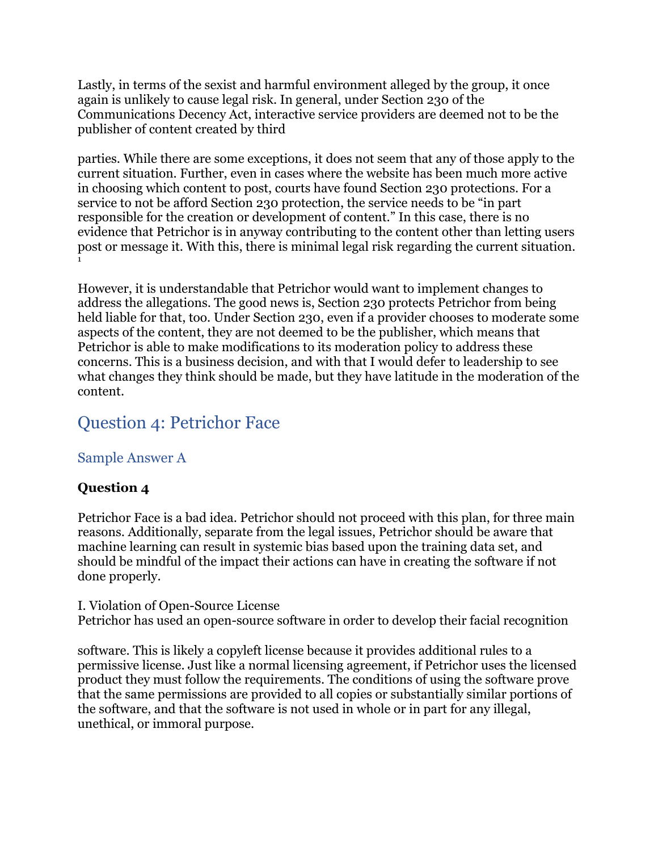Lastly, in terms of the sexist and harmful environment alleged by the group, it once again is unlikely to cause legal risk. In general, under Section 230 of the Communications Decency Act, interactive service providers are deemed not to be the publisher of content created by third

parties. While there are some exceptions, it does not seem that any of those apply to the current situation. Further, even in cases where the website has been much more active in choosing which content to post, courts have found Section 230 protections. For a service to not be afford Section 230 protection, the service needs to be "in part responsible for the creation or development of content." In this case, there is no evidence that Petrichor is in anyway contributing to the content other than letting users post or message it. With this, there is minimal legal risk regarding the current situation. 1

However, it is understandable that Petrichor would want to implement changes to address the allegations. The good news is, Section 230 protects Petrichor from being held liable for that, too. Under Section 230, even if a provider chooses to moderate some aspects of the content, they are not deemed to be the publisher, which means that Petrichor is able to make modifications to its moderation policy to address these concerns. This is a business decision, and with that I would defer to leadership to see what changes they think should be made, but they have latitude in the moderation of the content.

# Question 4: Petrichor Face

## Sample Answer A

## **Question 4**

Petrichor Face is a bad idea. Petrichor should not proceed with this plan, for three main reasons. Additionally, separate from the legal issues, Petrichor should be aware that machine learning can result in systemic bias based upon the training data set, and should be mindful of the impact their actions can have in creating the software if not done properly.

I. Violation of Open-Source License Petrichor has used an open-source software in order to develop their facial recognition

software. This is likely a copyleft license because it provides additional rules to a permissive license. Just like a normal licensing agreement, if Petrichor uses the licensed product they must follow the requirements. The conditions of using the software prove that the same permissions are provided to all copies or substantially similar portions of the software, and that the software is not used in whole or in part for any illegal, unethical, or immoral purpose.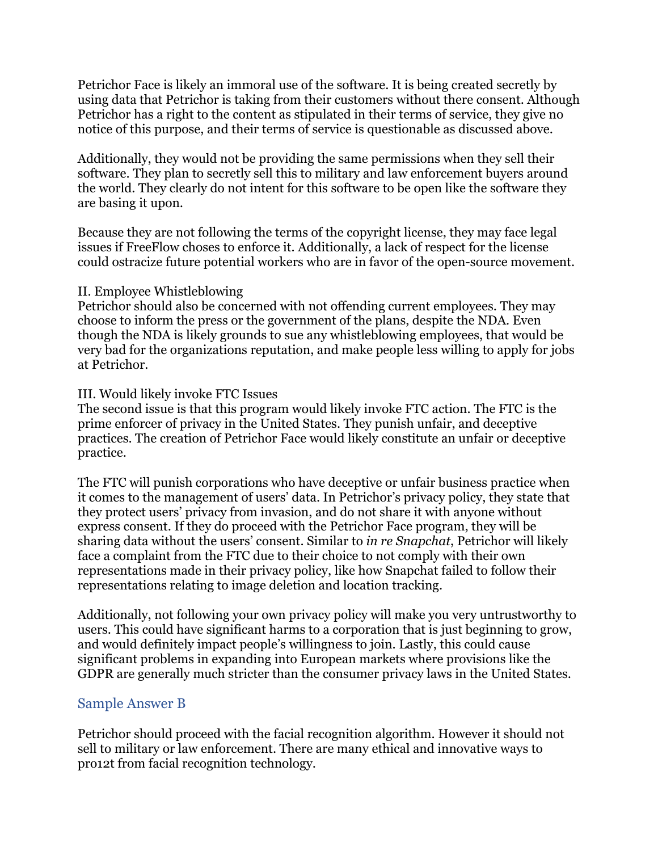Petrichor Face is likely an immoral use of the software. It is being created secretly by using data that Petrichor is taking from their customers without there consent. Although Petrichor has a right to the content as stipulated in their terms of service, they give no notice of this purpose, and their terms of service is questionable as discussed above.

Additionally, they would not be providing the same permissions when they sell their software. They plan to secretly sell this to military and law enforcement buyers around the world. They clearly do not intent for this software to be open like the software they are basing it upon.

Because they are not following the terms of the copyright license, they may face legal issues if FreeFlow choses to enforce it. Additionally, a lack of respect for the license could ostracize future potential workers who are in favor of the open-source movement.

### II. Employee Whistleblowing

Petrichor should also be concerned with not offending current employees. They may choose to inform the press or the government of the plans, despite the NDA. Even though the NDA is likely grounds to sue any whistleblowing employees, that would be very bad for the organizations reputation, and make people less willing to apply for jobs at Petrichor.

### III. Would likely invoke FTC Issues

The second issue is that this program would likely invoke FTC action. The FTC is the prime enforcer of privacy in the United States. They punish unfair, and deceptive practices. The creation of Petrichor Face would likely constitute an unfair or deceptive practice.

The FTC will punish corporations who have deceptive or unfair business practice when it comes to the management of users' data. In Petrichor's privacy policy, they state that they protect users' privacy from invasion, and do not share it with anyone without express consent. If they do proceed with the Petrichor Face program, they will be sharing data without the users' consent. Similar to *in re Snapchat*, Petrichor will likely face a complaint from the FTC due to their choice to not comply with their own representations made in their privacy policy, like how Snapchat failed to follow their representations relating to image deletion and location tracking.

Additionally, not following your own privacy policy will make you very untrustworthy to users. This could have significant harms to a corporation that is just beginning to grow, and would definitely impact people's willingness to join. Lastly, this could cause significant problems in expanding into European markets where provisions like the GDPR are generally much stricter than the consumer privacy laws in the United States.

## Sample Answer B

Petrichor should proceed with the facial recognition algorithm. However it should not sell to military or law enforcement. There are many ethical and innovative ways to pro12t from facial recognition technology.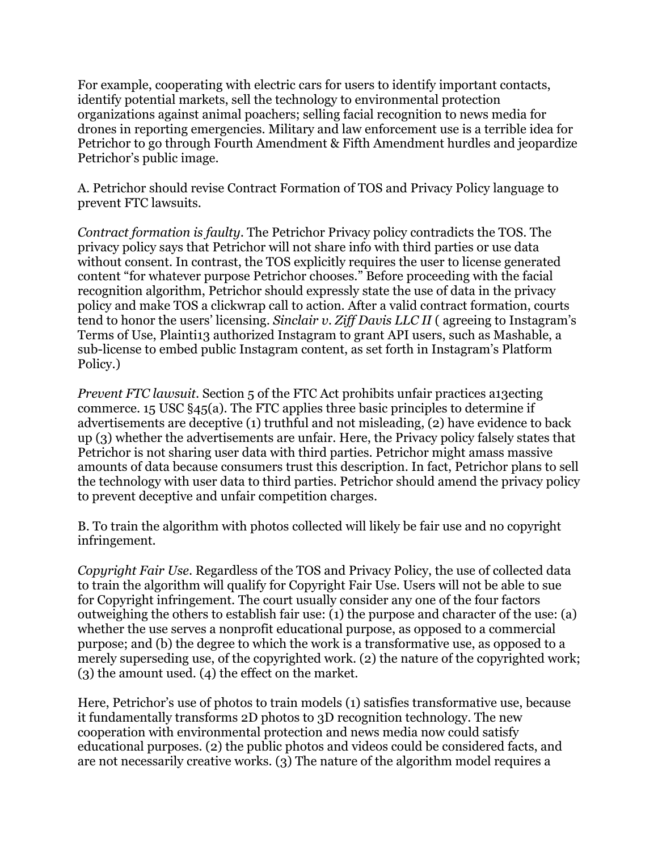For example, cooperating with electric cars for users to identify important contacts, identify potential markets, sell the technology to environmental protection organizations against animal poachers; selling facial recognition to news media for drones in reporting emergencies. Military and law enforcement use is a terrible idea for Petrichor to go through Fourth Amendment & Fifth Amendment hurdles and jeopardize Petrichor's public image.

A. Petrichor should revise Contract Formation of TOS and Privacy Policy language to prevent FTC lawsuits.

*Contract formation is faulty*. The Petrichor Privacy policy contradicts the TOS. The privacy policy says that Petrichor will not share info with third parties or use data without consent. In contrast, the TOS explicitly requires the user to license generated content "for whatever purpose Petrichor chooses." Before proceeding with the facial recognition algorithm, Petrichor should expressly state the use of data in the privacy policy and make TOS a clickwrap call to action. After a valid contract formation, courts tend to honor the users' licensing. *Sinclair v. Ziff Davis LLC II* ( agreeing to Instagram's Terms of Use, Plainti13 authorized Instagram to grant API users, such as Mashable, a sub-license to embed public Instagram content, as set forth in Instagram's Platform Policy.)

*Prevent FTC lawsuit*. Section 5 of the FTC Act prohibits unfair practices a13ecting commerce. 15 USC §45(a). The FTC applies three basic principles to determine if advertisements are deceptive (1) truthful and not misleading, (2) have evidence to back up (3) whether the advertisements are unfair. Here, the Privacy policy falsely states that Petrichor is not sharing user data with third parties. Petrichor might amass massive amounts of data because consumers trust this description. In fact, Petrichor plans to sell the technology with user data to third parties. Petrichor should amend the privacy policy to prevent deceptive and unfair competition charges.

B. To train the algorithm with photos collected will likely be fair use and no copyright infringement.

*Copyright Fair Use*. Regardless of the TOS and Privacy Policy, the use of collected data to train the algorithm will qualify for Copyright Fair Use. Users will not be able to sue for Copyright infringement. The court usually consider any one of the four factors outweighing the others to establish fair use: (1) the purpose and character of the use: (a) whether the use serves a nonprofit educational purpose, as opposed to a commercial purpose; and (b) the degree to which the work is a transformative use, as opposed to a merely superseding use, of the copyrighted work. (2) the nature of the copyrighted work; (3) the amount used. (4) the effect on the market.

Here, Petrichor's use of photos to train models (1) satisfies transformative use, because it fundamentally transforms 2D photos to 3D recognition technology. The new cooperation with environmental protection and news media now could satisfy educational purposes. (2) the public photos and videos could be considered facts, and are not necessarily creative works. (3) The nature of the algorithm model requires a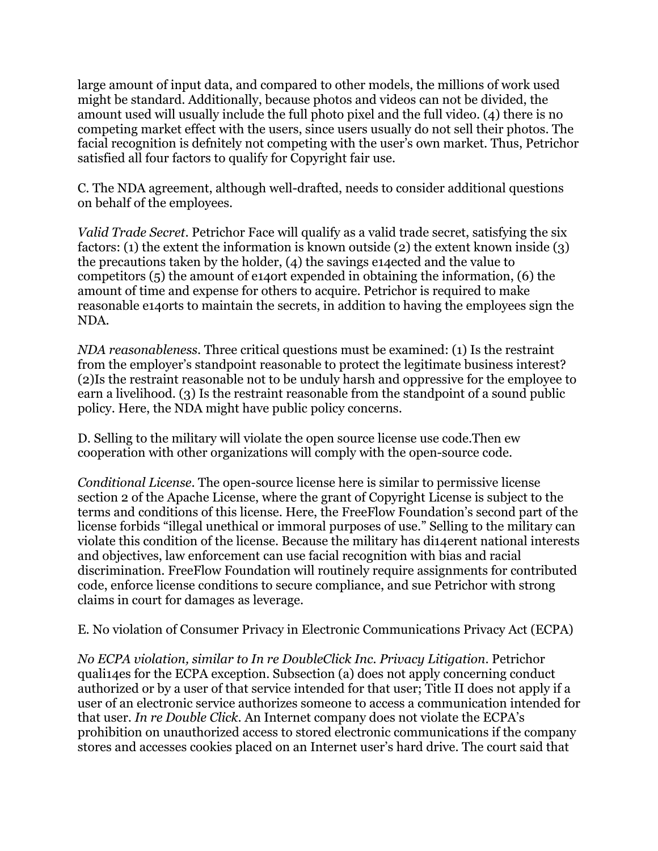large amount of input data, and compared to other models, the millions of work used might be standard. Additionally, because photos and videos can not be divided, the amount used will usually include the full photo pixel and the full video. (4) there is no competing market effect with the users, since users usually do not sell their photos. The facial recognition is defnitely not competing with the user's own market. Thus, Petrichor satisfied all four factors to qualify for Copyright fair use.

C. The NDA agreement, although well-drafted, needs to consider additional questions on behalf of the employees.

*Valid Trade Secret*. Petrichor Face will qualify as a valid trade secret, satisfying the six factors: (1) the extent the information is known outside (2) the extent known inside (3) the precautions taken by the holder, (4) the savings e14ected and the value to competitors (5) the amount of e14ort expended in obtaining the information, (6) the amount of time and expense for others to acquire. Petrichor is required to make reasonable e14orts to maintain the secrets, in addition to having the employees sign the NDA.

*NDA reasonableness*. Three critical questions must be examined: (1) Is the restraint from the employer's standpoint reasonable to protect the legitimate business interest? (2)Is the restraint reasonable not to be unduly harsh and oppressive for the employee to earn a livelihood. (3) Is the restraint reasonable from the standpoint of a sound public policy. Here, the NDA might have public policy concerns.

D. Selling to the military will violate the open source license use code.Then ew cooperation with other organizations will comply with the open-source code.

*Conditional License*. The open-source license here is similar to permissive license section 2 of the Apache License, where the grant of Copyright License is subject to the terms and conditions of this license. Here, the FreeFlow Foundation's second part of the license forbids "illegal unethical or immoral purposes of use." Selling to the military can violate this condition of the license. Because the military has di14erent national interests and objectives, law enforcement can use facial recognition with bias and racial discrimination. FreeFlow Foundation will routinely require assignments for contributed code, enforce license conditions to secure compliance, and sue Petrichor with strong claims in court for damages as leverage.

E. No violation of Consumer Privacy in Electronic Communications Privacy Act (ECPA)

*No ECPA violation, similar to In re DoubleClick Inc. Privacy Litigation*. Petrichor quali14es for the ECPA exception. Subsection (a) does not apply concerning conduct authorized or by a user of that service intended for that user; Title II does not apply if a user of an electronic service authorizes someone to access a communication intended for that user. *In re Double Click*. An Internet company does not violate the ECPA's prohibition on unauthorized access to stored electronic communications if the company stores and accesses cookies placed on an Internet user's hard drive. The court said that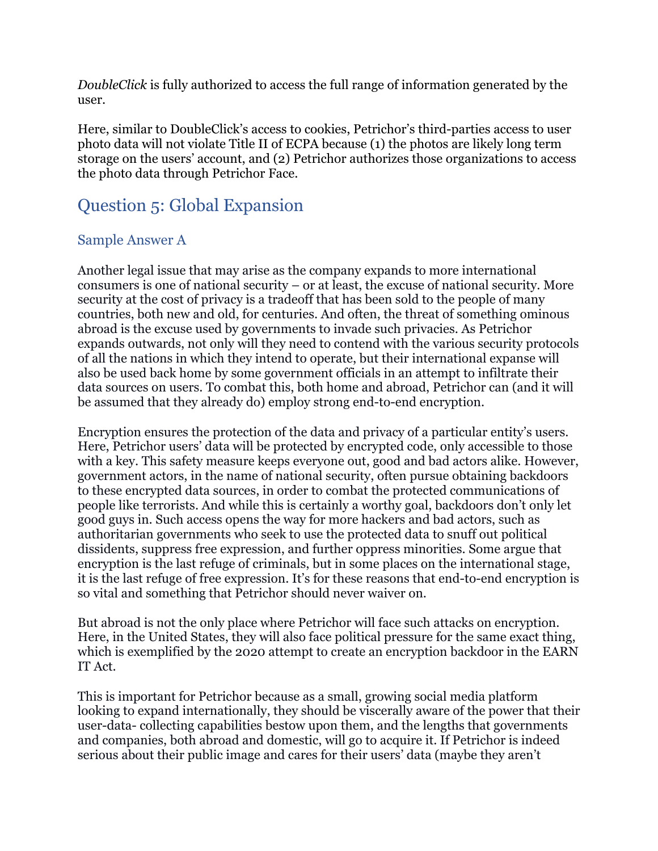*DoubleClick* is fully authorized to access the full range of information generated by the user.

Here, similar to DoubleClick's access to cookies, Petrichor's third-parties access to user photo data will not violate Title II of ECPA because (1) the photos are likely long term storage on the users' account, and (2) Petrichor authorizes those organizations to access the photo data through Petrichor Face.

# Question 5: Global Expansion

## Sample Answer A

Another legal issue that may arise as the company expands to more international consumers is one of national security – or at least, the excuse of national security. More security at the cost of privacy is a tradeoff that has been sold to the people of many countries, both new and old, for centuries. And often, the threat of something ominous abroad is the excuse used by governments to invade such privacies. As Petrichor expands outwards, not only will they need to contend with the various security protocols of all the nations in which they intend to operate, but their international expanse will also be used back home by some government officials in an attempt to infiltrate their data sources on users. To combat this, both home and abroad, Petrichor can (and it will be assumed that they already do) employ strong end-to-end encryption.

Encryption ensures the protection of the data and privacy of a particular entity's users. Here, Petrichor users' data will be protected by encrypted code, only accessible to those with a key. This safety measure keeps everyone out, good and bad actors alike. However, government actors, in the name of national security, often pursue obtaining backdoors to these encrypted data sources, in order to combat the protected communications of people like terrorists. And while this is certainly a worthy goal, backdoors don't only let good guys in. Such access opens the way for more hackers and bad actors, such as authoritarian governments who seek to use the protected data to snuff out political dissidents, suppress free expression, and further oppress minorities. Some argue that encryption is the last refuge of criminals, but in some places on the international stage, it is the last refuge of free expression. It's for these reasons that end-to-end encryption is so vital and something that Petrichor should never waiver on.

But abroad is not the only place where Petrichor will face such attacks on encryption. Here, in the United States, they will also face political pressure for the same exact thing, which is exemplified by the 2020 attempt to create an encryption backdoor in the EARN IT Act.

This is important for Petrichor because as a small, growing social media platform looking to expand internationally, they should be viscerally aware of the power that their user-data- collecting capabilities bestow upon them, and the lengths that governments and companies, both abroad and domestic, will go to acquire it. If Petrichor is indeed serious about their public image and cares for their users' data (maybe they aren't